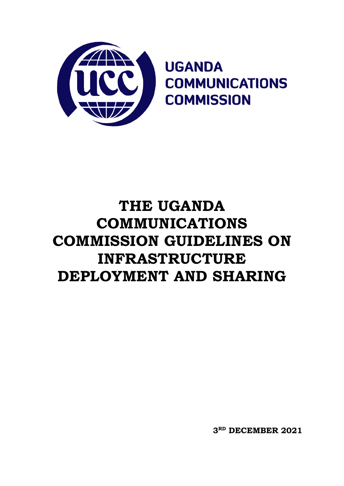**3 RD DECEMBER 2021**

# **THE UGANDA COMMUNICATIONS COMMISSION GUIDELINES ON INFRASTRUCTURE DEPLOYMENT AND SHARING**

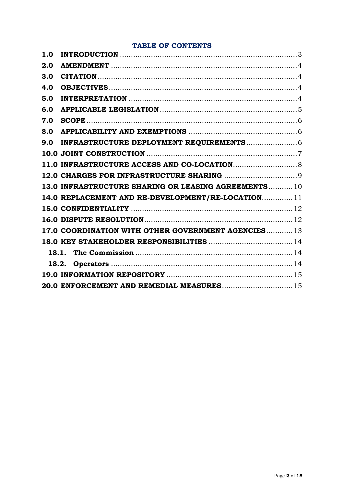## **TABLE OF CONTENTS**

| 1.0 |                                                      |  |
|-----|------------------------------------------------------|--|
| 2.0 |                                                      |  |
| 3.0 |                                                      |  |
| 4.0 |                                                      |  |
| 5.0 |                                                      |  |
| 6.0 |                                                      |  |
| 7.0 |                                                      |  |
| 8.0 |                                                      |  |
| 9.0 |                                                      |  |
|     |                                                      |  |
|     |                                                      |  |
|     |                                                      |  |
|     | 13.0 INFRASTRUCTURE SHARING OR LEASING AGREEMENTS 10 |  |
|     | 14.0 REPLACEMENT AND RE-DEVELOPMENT/RE-LOCATION 11   |  |
|     |                                                      |  |
|     |                                                      |  |
|     | 17.0 COORDINATION WITH OTHER GOVERNMENT AGENCIES 13  |  |
|     |                                                      |  |
|     |                                                      |  |
|     |                                                      |  |
|     |                                                      |  |
|     | 20.0 ENFORCEMENT AND REMEDIAL MEASURES 15            |  |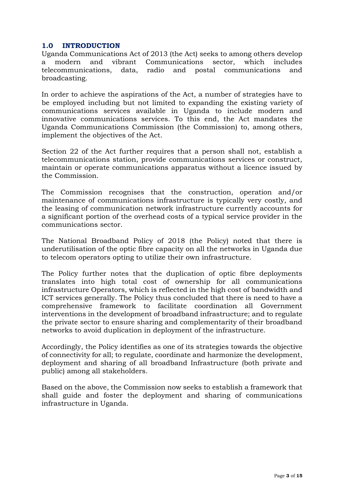## <span id="page-2-0"></span>**1.0 INTRODUCTION**

Uganda Communications Act of 2013 (the Act) seeks to among others develop a modern and vibrant Communications sector, which includes telecommunications, data, radio and postal communications and broadcasting.

In order to achieve the aspirations of the Act, a number of strategies have to be employed including but not limited to expanding the existing variety of communications services available in Uganda to include modern and innovative communications services. To this end, the Act mandates the Uganda Communications Commission (the Commission) to, among others, implement the objectives of the Act.

Section 22 of the Act further requires that a person shall not, establish a telecommunications station, provide communications services or construct, maintain or operate communications apparatus without a licence issued by the Commission.

The Commission recognises that the construction, operation and/or maintenance of communications infrastructure is typically very costly, and the leasing of communication network infrastructure currently accounts for a significant portion of the overhead costs of a typical service provider in the communications sector.

The National Broadband Policy of 2018 (the Policy) noted that there is underutilisation of the optic fibre capacity on all the networks in Uganda due to telecom operators opting to utilize their own infrastructure.

The Policy further notes that the duplication of optic fibre deployments translates into high total cost of ownership for all communications infrastructure Operators, which is reflected in the high cost of bandwidth and ICT services generally. The Policy thus concluded that there is need to have a comprehensive framework to facilitate coordination all Government interventions in the development of broadband infrastructure; and to regulate the private sector to ensure sharing and complementarity of their broadband networks to avoid duplication in deployment of the infrastructure.

Accordingly, the Policy identifies as one of its strategies towards the objective of connectivity for all; to regulate, coordinate and harmonize the development, deployment and sharing of all broadband Infrastructure (both private and public) among all stakeholders.

Based on the above, the Commission now seeks to establish a framework that shall guide and foster the deployment and sharing of communications infrastructure in Uganda.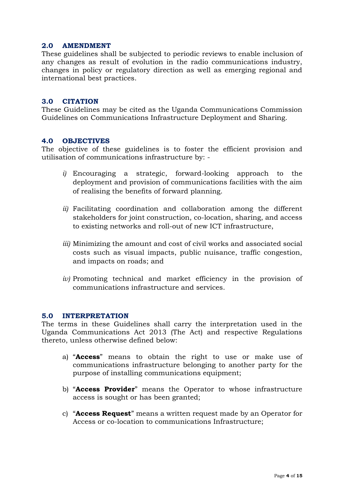## <span id="page-3-0"></span>**2.0 AMENDMENT**

These guidelines shall be subjected to periodic reviews to enable inclusion of any changes as result of evolution in the radio communications industry, changes in policy or regulatory direction as well as emerging regional and international best practices.

#### <span id="page-3-1"></span>**3.0 CITATION**

These Guidelines may be cited as the Uganda Communications Commission Guidelines on Communications Infrastructure Deployment and Sharing.

#### <span id="page-3-2"></span>**4.0 OBJECTIVES**

The objective of these guidelines is to foster the efficient provision and utilisation of communications infrastructure by: -

- *i)* Encouraging a strategic, forward-looking approach to the deployment and provision of communications facilities with the aim of realising the benefits of forward planning.
- *ii)* Facilitating coordination and collaboration among the different stakeholders for joint construction, co-location, sharing, and access to existing networks and roll-out of new ICT infrastructure,
- *iii)* Minimizing the amount and cost of civil works and associated social costs such as visual impacts, public nuisance, traffic congestion, and impacts on roads; and
- *iv)* Promoting technical and market efficiency in the provision of communications infrastructure and services.

#### <span id="page-3-3"></span>**5.0 INTERPRETATION**

The terms in these Guidelines shall carry the interpretation used in the Uganda Communications Act 2013 (The Act) and respective Regulations thereto, unless otherwise defined below:

- a) "**Access**" means to obtain the right to use or make use of communications infrastructure belonging to another party for the purpose of installing communications equipment;
- b) "**Access Provider**" means the Operator to whose infrastructure access is sought or has been granted;
- c) "**Access Request**" means a written request made by an Operator for Access or co-location to communications Infrastructure;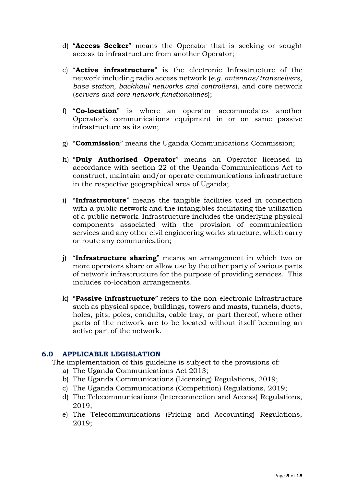- d) "**Access Seeker**" means the Operator that is seeking or sought access to infrastructure from another Operator;
- e) "**Active infrastructure**" is the electronic Infrastructure of the network including radio access network (*e.g. antennas/transceivers, base station, backhaul networks and controllers*), and core network (*servers and core network functionalities*);
- f) "**Co-location**" is where an operator accommodates another Operator's communications equipment in or on same passive infrastructure as its own;
- g) "**Commission**" means the Uganda Communications Commission;
- h) "**Duly Authorised Operator**" means an Operator licensed in accordance with section 22 of the Uganda Communications Act to construct, maintain and/or operate communications infrastructure in the respective geographical area of Uganda;
- i) "**Infrastructure**" means the tangible facilities used in connection with a public network and the intangibles facilitating the utilization of a public network. Infrastructure includes the underlying physical components associated with the provision of communication services and any other civil engineering works structure, which carry or route any communication;
- j) "**Infrastructure sharing**" means an arrangement in which two or more operators share or allow use by the other party of various parts of network infrastructure for the purpose of providing services. This includes co-location arrangements.
- k) "**Passive infrastructure**" refers to the non-electronic Infrastructure such as physical space, buildings, towers and masts, tunnels, ducts, holes, pits, poles, conduits, cable tray, or part thereof, where other parts of the network are to be located without itself becoming an active part of the network.

#### <span id="page-4-0"></span>**6.0 APPLICABLE LEGISLATION**

- The implementation of this guideline is subject to the provisions of:
	- a) The Uganda Communications Act 2013;
	- b) The Uganda Communications (Licensing) Regulations, 2019;
	- c) The Uganda Communications (Competition) Regulations, 2019;
	- d) The Telecommunications (Interconnection and Access) Regulations, 2019;
	- e) The Telecommunications (Pricing and Accounting) Regulations, 2019;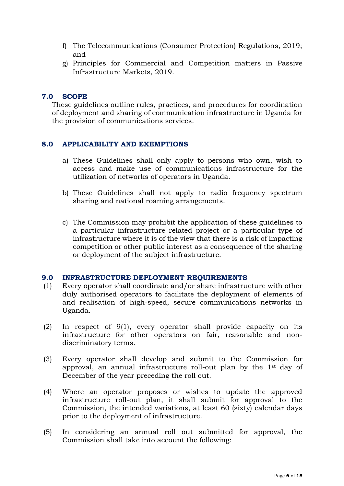- f) The Telecommunications (Consumer Protection) Regulations, 2019; and
- g) Principles for Commercial and Competition matters in Passive Infrastructure Markets, 2019.

#### <span id="page-5-0"></span>**7.0 SCOPE**

These guidelines outline rules, practices, and procedures for coordination of deployment and sharing of communication infrastructure in Uganda for the provision of communications services.

#### <span id="page-5-1"></span>**8.0 APPLICABILITY AND EXEMPTIONS**

- a) These Guidelines shall only apply to persons who own, wish to access and make use of communications infrastructure for the utilization of networks of operators in Uganda.
- b) These Guidelines shall not apply to radio frequency spectrum sharing and national roaming arrangements.
- c) The Commission may prohibit the application of these guidelines to a particular infrastructure related project or a particular type of infrastructure where it is of the view that there is a risk of impacting competition or other public interest as a consequence of the sharing or deployment of the subject infrastructure.

#### <span id="page-5-2"></span>**9.0 INFRASTRUCTURE DEPLOYMENT REQUIREMENTS**

- (1) Every operator shall coordinate and/or share infrastructure with other duly authorised operators to facilitate the deployment of elements of and realisation of high-speed, secure communications networks in Uganda.
- (2) In respect of 9(1), every operator shall provide capacity on its infrastructure for other operators on fair, reasonable and nondiscriminatory terms.
- (3) Every operator shall develop and submit to the Commission for approval, an annual infrastructure roll-out plan by the 1st day of December of the year preceding the roll out.
- (4) Where an operator proposes or wishes to update the approved infrastructure roll-out plan, it shall submit for approval to the Commission, the intended variations, at least 60 (sixty) calendar days prior to the deployment of infrastructure.
- (5) In considering an annual roll out submitted for approval, the Commission shall take into account the following: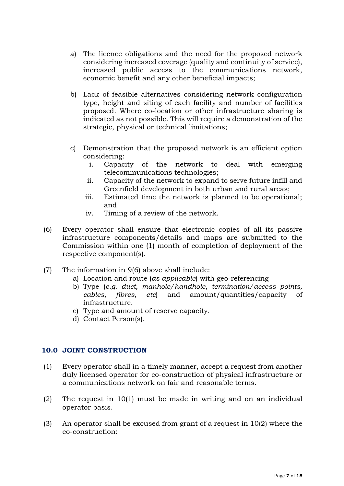- a) The licence obligations and the need for the proposed network considering increased coverage (quality and continuity of service), increased public access to the communications network, economic benefit and any other beneficial impacts;
- b) Lack of feasible alternatives considering network configuration type, height and siting of each facility and number of facilities proposed. Where co-location or other infrastructure sharing is indicated as not possible. This will require a demonstration of the strategic, physical or technical limitations;
- c) Demonstration that the proposed network is an efficient option considering:
	- i. Capacity of the network to deal with emerging telecommunications technologies;
	- ii. Capacity of the network to expand to serve future infill and Greenfield development in both urban and rural areas;
	- iii. Estimated time the network is planned to be operational; and
	- iv. Timing of a review of the network.
- (6) Every operator shall ensure that electronic copies of all its passive infrastructure components/details and maps are submitted to the Commission within one (1) month of completion of deployment of the respective component(s).
- (7) The information in 9(6) above shall include:
	- a) Location and route (*as applicable*) with geo-referencing
	- b) Type (*e.g. duct, manhole/handhole, termination/access points, cables, fibres, etc*) and amount/quantities/capacity of infrastructure.
	- c) Type and amount of reserve capacity.
	- d) Contact Person(s).

## <span id="page-6-0"></span>**10.0 JOINT CONSTRUCTION**

- (1) Every operator shall in a timely manner, accept a request from another duly licensed operator for co-construction of physical infrastructure or a communications network on fair and reasonable terms.
- (2) The request in 10(1) must be made in writing and on an individual operator basis.
- (3) An operator shall be excused from grant of a request in 10(2) where the co-construction: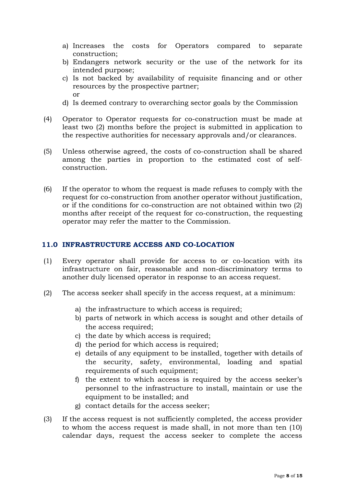- a) Increases the costs for Operators compared to separate construction;
- b) Endangers network security or the use of the network for its intended purpose;
- c) Is not backed by availability of requisite financing and or other resources by the prospective partner; or
- d) Is deemed contrary to overarching sector goals by the Commission
- (4) Operator to Operator requests for co-construction must be made at least two (2) months before the project is submitted in application to the respective authorities for necessary approvals and/or clearances.
- (5) Unless otherwise agreed, the costs of co-construction shall be shared among the parties in proportion to the estimated cost of selfconstruction.
- (6) If the operator to whom the request is made refuses to comply with the request for co-construction from another operator without justification, or if the conditions for co-construction are not obtained within two (2) months after receipt of the request for co-construction, the requesting operator may refer the matter to the Commission.

## <span id="page-7-0"></span>**11.0 INFRASTRUCTURE ACCESS AND CO-LOCATION**

- (1) Every operator shall provide for access to or co-location with its infrastructure on fair, reasonable and non-discriminatory terms to another duly licensed operator in response to an access request.
- (2) The access seeker shall specify in the access request, at a minimum:
	- a) the infrastructure to which access is required;
	- b) parts of network in which access is sought and other details of the access required;
	- c) the date by which access is required;
	- d) the period for which access is required;
	- e) details of any equipment to be installed, together with details of the security, safety, environmental, loading and spatial requirements of such equipment;
	- f) the extent to which access is required by the access seeker's personnel to the infrastructure to install, maintain or use the equipment to be installed; and
	- g) contact details for the access seeker;
- (3) If the access request is not sufficiently completed, the access provider to whom the access request is made shall, in not more than ten (10) calendar days, request the access seeker to complete the access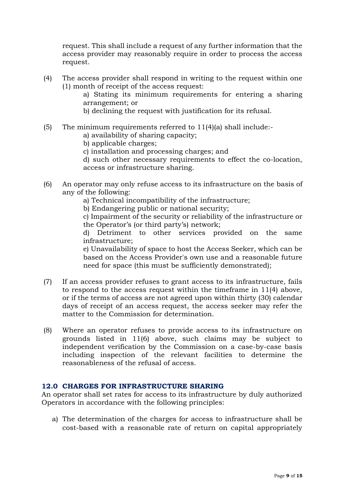request. This shall include a request of any further information that the access provider may reasonably require in order to process the access request.

- (4) The access provider shall respond in writing to the request within one (1) month of receipt of the access request:
	- a) Stating its minimum requirements for entering a sharing arrangement; or
	- b) declining the request with justification for its refusal.
- (5) The minimum requirements referred to 11(4)(a) shall include:
	- a) availability of sharing capacity;
	- b) applicable charges;
	- c) installation and processing charges; and
	- d) such other necessary requirements to effect the co-location, access or infrastructure sharing.
- (6) An operator may only refuse access to its infrastructure on the basis of any of the following:
	- a) Technical incompatibility of the infrastructure;
	- b) Endangering public or national security;

c) Impairment of the security or reliability of the infrastructure or the Operator's (or third party's) network;

d) Detriment to other services provided on the same infrastructure;

e) Unavailability of space to host the Access Seeker, which can be based on the Access Provider's own use and a reasonable future need for space (this must be sufficiently demonstrated);

- (7) If an access provider refuses to grant access to its infrastructure, fails to respond to the access request within the timeframe in 11(4) above, or if the terms of access are not agreed upon within thirty (30) calendar days of receipt of an access request, the access seeker may refer the matter to the Commission for determination.
- (8) Where an operator refuses to provide access to its infrastructure on grounds listed in 11(6) above, such claims may be subject to independent verification by the Commission on a case-by-case basis including inspection of the relevant facilities to determine the reasonableness of the refusal of access.

## <span id="page-8-0"></span>**12.0 CHARGES FOR INFRASTRUCTURE SHARING**

An operator shall set rates for access to its infrastructure by duly authorized Operators in accordance with the following principles:

a) The determination of the charges for access to infrastructure shall be cost-based with a reasonable rate of return on capital appropriately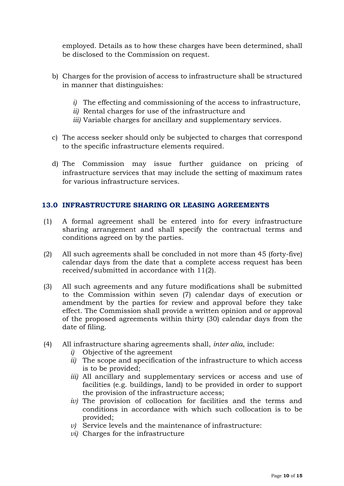employed. Details as to how these charges have been determined, shall be disclosed to the Commission on request.

- b) Charges for the provision of access to infrastructure shall be structured in manner that distinguishes:
	- *i)* The effecting and commissioning of the access to infrastructure,
	- *ii)* Rental charges for use of the infrastructure and
	- *iii)* Variable charges for ancillary and supplementary services.
- c) The access seeker should only be subjected to charges that correspond to the specific infrastructure elements required.
- d) The Commission may issue further guidance on pricing of infrastructure services that may include the setting of maximum rates for various infrastructure services.

## <span id="page-9-0"></span>**13.0 INFRASTRUCTURE SHARING OR LEASING AGREEMENTS**

- (1) A formal agreement shall be entered into for every infrastructure sharing arrangement and shall specify the contractual terms and conditions agreed on by the parties.
- (2) All such agreements shall be concluded in not more than 45 (forty-five) calendar days from the date that a complete access request has been received/submitted in accordance with 11(2).
- (3) All such agreements and any future modifications shall be submitted to the Commission within seven (7) calendar days of execution or amendment by the parties for review and approval before they take effect. The Commission shall provide a written opinion and or approval of the proposed agreements within thirty (30) calendar days from the date of filing.
- (4) All infrastructure sharing agreements shall, *inter alia*, include:
	- *i)* Objective of the agreement
	- *ii)* The scope and specification of the infrastructure to which access is to be provided;
	- *iii)* All ancillary and supplementary services or access and use of facilities (e.g. buildings, land) to be provided in order to support the provision of the infrastructure access;
	- *iv)* The provision of collocation for facilities and the terms and conditions in accordance with which such collocation is to be provided;
	- *v)* Service levels and the maintenance of infrastructure:
	- *vi)* Charges for the infrastructure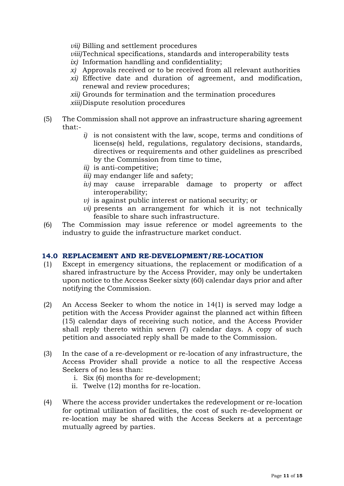*vii)* Billing and settlement procedures

*viii)*Technical specifications, standards and interoperability tests

- *ix)* Information handling and confidentiality;
- *x)* Approvals received or to be received from all relevant authorities
- *xi)* Effective date and duration of agreement, and modification, renewal and review procedures;
- *xii)* Grounds for termination and the termination procedures
- *xiii)*Dispute resolution procedures
- (5) The Commission shall not approve an infrastructure sharing agreement that:
	- *i)* is not consistent with the law, scope, terms and conditions of license(s) held, regulations, regulatory decisions, standards, directives or requirements and other guidelines as prescribed by the Commission from time to time,
	- *ii)* is anti-competitive;
	- *iii)* may endanger life and safety;
	- *iv)* may cause irreparable damage to property or affect interoperability;
	- *v)* is against public interest or national security; or
	- *vi)* presents an arrangement for which it is not technically feasible to share such infrastructure.
- (6) The Commission may issue reference or model agreements to the industry to guide the infrastructure market conduct.

## <span id="page-10-0"></span>**14.0 REPLACEMENT AND RE-DEVELOPMENT/RE-LOCATION**

- (1) Except in emergency situations, the replacement or modification of a shared infrastructure by the Access Provider, may only be undertaken upon notice to the Access Seeker sixty (60) calendar days prior and after notifying the Commission.
- (2) An Access Seeker to whom the notice in 14(1) is served may lodge a petition with the Access Provider against the planned act within fifteen (15) calendar days of receiving such notice, and the Access Provider shall reply thereto within seven (7) calendar days. A copy of such petition and associated reply shall be made to the Commission.
- (3) In the case of a re-development or re-location of any infrastructure, the Access Provider shall provide a notice to all the respective Access Seekers of no less than:
	- i. Six (6) months for re-development;
	- ii. Twelve (12) months for re-location.
- (4) Where the access provider undertakes the redevelopment or re-location for optimal utilization of facilities, the cost of such re-development or re-location may be shared with the Access Seekers at a percentage mutually agreed by parties.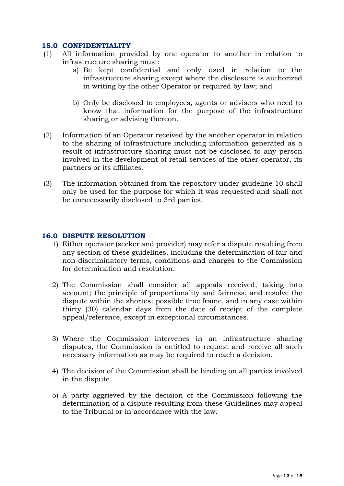## <span id="page-11-0"></span>**15.0 CONFIDENTIALITY**

- (1) All information provided by one operator to another in relation to infrastructure sharing must:
	- a) Be kept confidential and only used in relation to the infrastructure sharing except where the disclosure is authorized in writing by the other Operator or required by law; and
	- b) Only be disclosed to employees, agents or advisers who need to know that information for the purpose of the infrastructure sharing or advising thereon.
- (2) Information of an Operator received by the another operator in relation to the sharing of infrastructure including information generated as a result of infrastructure sharing must not be disclosed to any person involved in the development of retail services of the other operator, its partners or its affiliates.
- (3) The information obtained from the repository under guideline 10 shall only be used for the purpose for which it was requested and shall not be unnecessarily disclosed to 3rd parties.

## <span id="page-11-1"></span>**16.0 DISPUTE RESOLUTION**

- 1) Either operator (seeker and provider) may refer a dispute resulting from any section of these guidelines, including the determination of fair and non-discriminatory terms, conditions and charges to the Commission for determination and resolution.
- 2) The Commission shall consider all appeals received, taking into account; the principle of proportionality and fairness, and resolve the dispute within the shortest possible time frame, and in any case within thirty (30) calendar days from the date of receipt of the complete appeal/reference, except in exceptional circumstances.
- 3) Where the Commission intervenes in an infrastructure sharing disputes, the Commission is entitled to request and receive all such necessary information as may be required to reach a decision.
- 4) The decision of the Commission shall be binding on all parties involved in the dispute.
- 5) A party aggrieved by the decision of the Commission following the determination of a dispute resulting from these Guidelines may appeal to the Tribunal or in accordance with the law.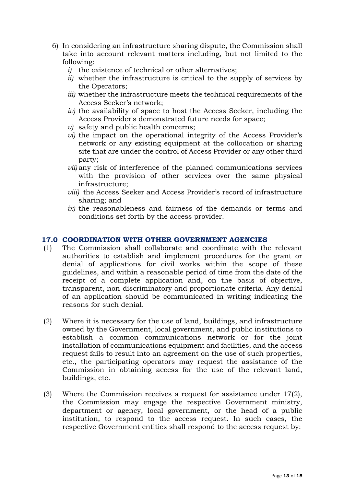- 6) In considering an infrastructure sharing dispute, the Commission shall take into account relevant matters including, but not limited to the following:
	- *i)* the existence of technical or other alternatives;
	- *ii)* whether the infrastructure is critical to the supply of services by the Operators;
	- *iii)* whether the infrastructure meets the technical requirements of the Access Seeker's network;
	- *iv)* the availability of space to host the Access Seeker, including the Access Provider's demonstrated future needs for space;
	- *v)* safety and public health concerns;
	- *vi)* the impact on the operational integrity of the Access Provider's network or any existing equipment at the collocation or sharing site that are under the control of Access Provider or any other third party;
	- *vii)* any risk of interference of the planned communications services with the provision of other services over the same physical infrastructure;
	- *viii)* the Access Seeker and Access Provider's record of infrastructure sharing; and
	- *ix)* the reasonableness and fairness of the demands or terms and conditions set forth by the access provider.

## <span id="page-12-0"></span>**17.0 COORDINATION WITH OTHER GOVERNMENT AGENCIES**

- (1) The Commission shall collaborate and coordinate with the relevant authorities to establish and implement procedures for the grant or denial of applications for civil works within the scope of these guidelines, and within a reasonable period of time from the date of the receipt of a complete application and, on the basis of objective, transparent, non-discriminatory and proportionate criteria. Any denial of an application should be communicated in writing indicating the reasons for such denial.
- (2) Where it is necessary for the use of land, buildings, and infrastructure owned by the Government, local government, and public institutions to establish a common communications network or for the joint installation of communications equipment and facilities, and the access request fails to result into an agreement on the use of such properties, etc., the participating operators may request the assistance of the Commission in obtaining access for the use of the relevant land, buildings, etc.
- (3) Where the Commission receives a request for assistance under 17(2), the Commission may engage the respective Government ministry, department or agency, local government, or the head of a public institution, to respond to the access request. In such cases, the respective Government entities shall respond to the access request by: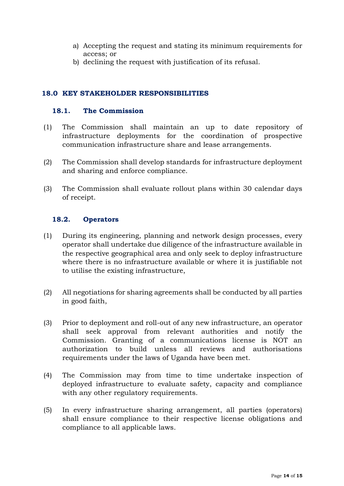- a) Accepting the request and stating its minimum requirements for access; or
- b) declining the request with justification of its refusal.

## <span id="page-13-0"></span>**18.0 KEY STAKEHOLDER RESPONSIBILITIES**

## <span id="page-13-1"></span>**18.1. The Commission**

- (1) The Commission shall maintain an up to date repository of infrastructure deployments for the coordination of prospective communication infrastructure share and lease arrangements.
- (2) The Commission shall develop standards for infrastructure deployment and sharing and enforce compliance.
- (3) The Commission shall evaluate rollout plans within 30 calendar days of receipt.

## <span id="page-13-2"></span>**18.2. Operators**

- (1) During its engineering, planning and network design processes, every operator shall undertake due diligence of the infrastructure available in the respective geographical area and only seek to deploy infrastructure where there is no infrastructure available or where it is justifiable not to utilise the existing infrastructure,
- (2) All negotiations for sharing agreements shall be conducted by all parties in good faith,
- (3) Prior to deployment and roll-out of any new infrastructure, an operator shall seek approval from relevant authorities and notify the Commission. Granting of a communications license is NOT an authorization to build unless all reviews and authorisations requirements under the laws of Uganda have been met.
- (4) The Commission may from time to time undertake inspection of deployed infrastructure to evaluate safety, capacity and compliance with any other regulatory requirements.
- (5) In every infrastructure sharing arrangement, all parties (operators) shall ensure compliance to their respective license obligations and compliance to all applicable laws.